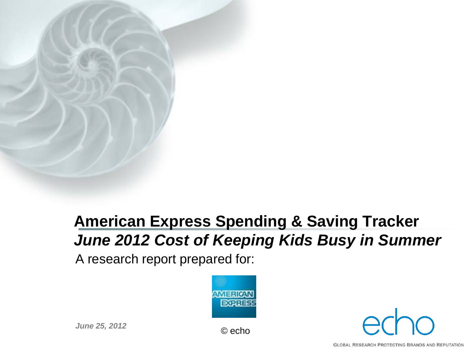# **American Express Spending & Saving Tracker** *June 2012 Cost of Keeping Kids Busy in Summer*

A research report prepared for:





*June 25, 2012* © echo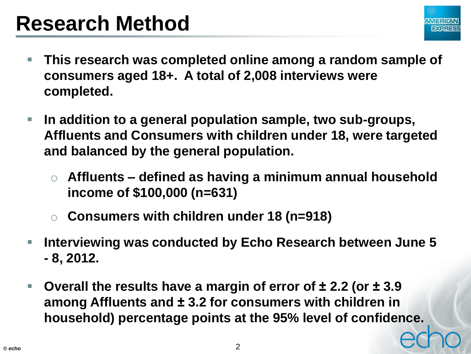# **Research Method**



- **This research was completed online among a random sample of consumers aged 18+. A total of 2,008 interviews were completed.**
- **In addition to a general population sample, two sub-groups, Affluents and Consumers with children under 18, were targeted and balanced by the general population.** 
	- o **Affluents – defined as having a minimum annual household income of \$100,000 (n=631)**
	- o **Consumers with children under 18 (n=918)**
- **Interviewing was conducted by Echo Research between June 5 - 8, 2012.**
- **Overall the results have a margin of error of ± 2.2 (or ± 3.9 among Affluents and ± 3.2 for consumers with children in household) percentage points at the 95% level of confidence.**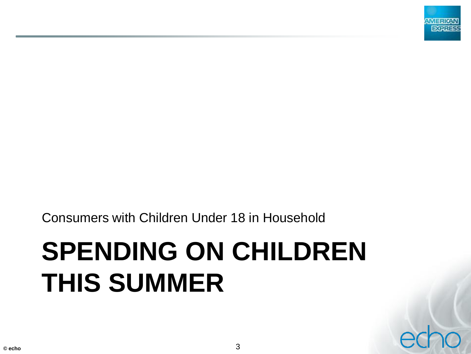

Consumers with Children Under 18 in Household

# **SPENDING ON CHILDREN THIS SUMMER**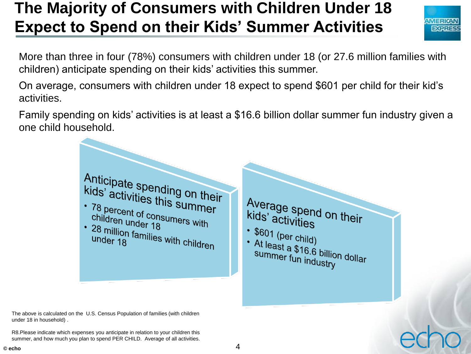# **The Majority of Consumers with Children Under 18 Expect to Spend on their Kids' Summer Activities**



More than three in four (78%) consumers with children under 18 (or 27.6 million families with children) anticipate spending on their kids' activities this summer.

On average, consumers with children under 18 expect to spend \$601 per child for their kid's activities.

Family spending on kids' activities is at least a \$16.6 billion dollar summer fun industry given a one child household.



The above is calculated on the U.S. Census Population of families (with children under 18 in household) .

R8.Please indicate which expenses you anticipate in relation to your children this summer, and how much you plan to spend PER CHILD. Average of all activities.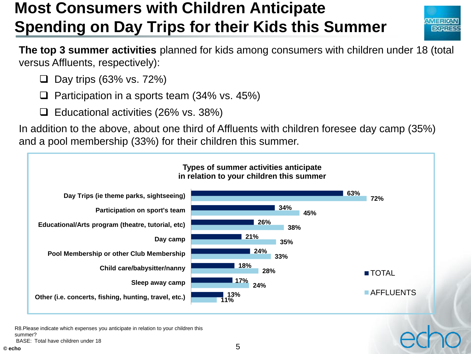# **Most Consumers with Children Anticipate Spending on Day Trips for their Kids this Summer**



**The top 3 summer activities** planned for kids among consumers with children under 18 (total versus Affluents, respectively):

- $\Box$  Day trips (63% vs. 72%)
- Participation in a sports team (34% vs. 45%)
- $\Box$  Educational activities (26% vs. 38%)

In addition to the above, about one third of Affluents with children foresee day camp (35%) and a pool membership (33%) for their children this summer.



R8.Please indicate which expenses you anticipate in relation to your children this summer?

BASE: Total have children under 18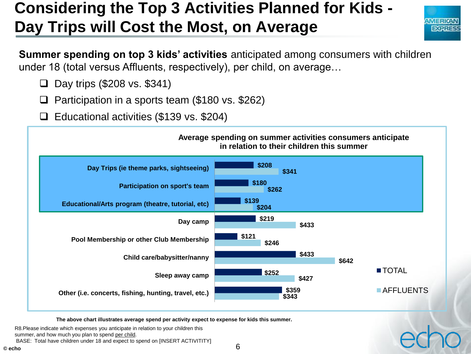# **Considering the Top 3 Activities Planned for Kids - Day Trips will Cost the Most, on Average**



**Summer spending on top 3 kids' activities** anticipated among consumers with children under 18 (total versus Affluents, respectively), per child, on average…

- $\Box$  Day trips (\$208 vs. \$341)
- Participation in a sports team (\$180 vs. \$262)
- Educational activities (\$139 vs. \$204)



**The above chart illustrates average spend per activity expect to expense for kids this summer.**

R8.Please indicate which expenses you anticipate in relation to your children this summer, and how much you plan to spend per child. BASE: Total have children under 18 and expect to spend on [INSERT ACTIVITITY]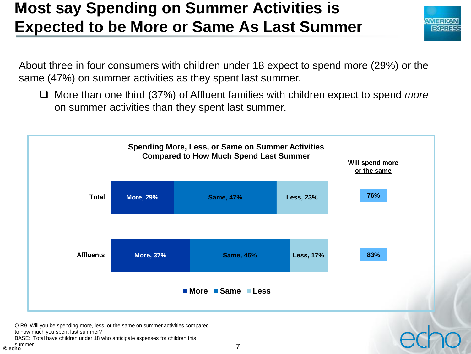#### **Most say Spending on Summer Activities is Expected to be More or Same As Last Summer**



About three in four consumers with children under 18 expect to spend more (29%) or the same (47%) on summer activities as they spent last summer.

 More than one third (37%) of Affluent families with children expect to spend *more* on summer activities than they spent last summer.



BASE: Total have children under 18 who anticipate expenses for children this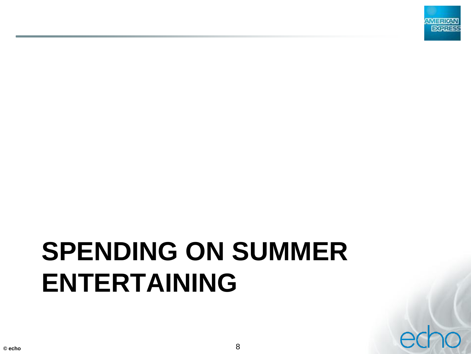

# **SPENDING ON SUMMER ENTERTAINING**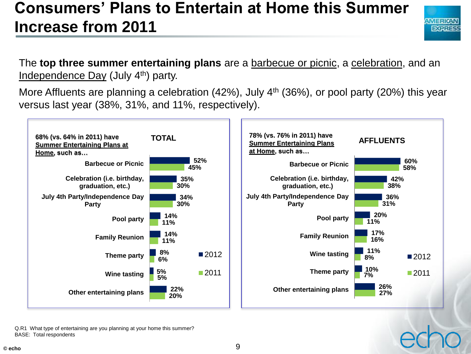#### **Consumers' Plans to Entertain at Home this Summer Increase from 2011**



The **top three summer entertaining plans** are a barbecue or picnic, a celebration, and an Independence Day (July 4th) party.

More Affluents are planning a celebration  $(42%)$ , July  $4<sup>th</sup>$  (36%), or pool party (20%) this year versus last year (38%, 31%, and 11%, respectively).



Q.R1 What type of entertaining are you planning at your home this summer? BASE: Total respondents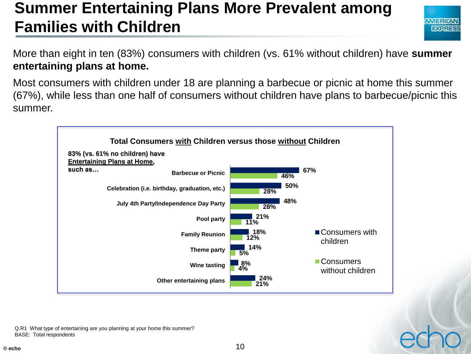#### **Summer Entertaining Plans More Prevalent among Families with Children**



More than eight in ten (83%) consumers with children (vs. 61% without children) have **summer entertaining plans at home.**

Most consumers with children under 18 are planning a barbecue or picnic at home this summer (67%), while less than one half of consumers without children have plans to barbecue/picnic this summer.



Q.R1 What type of entertaining are you planning at your home this summer? BASE: Total respondents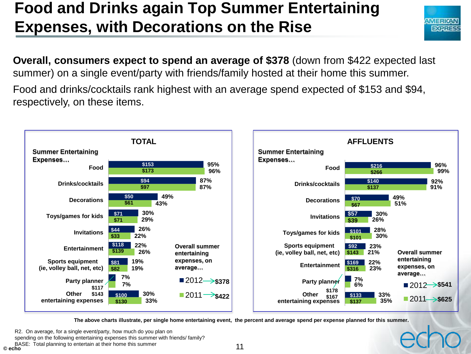#### **Food and Drinks again Top Summer Entertaining Expenses, with Decorations on the Rise**



**Overall, consumers expect to spend an average of \$378** (down from \$422 expected last summer) on a single event/party with friends/family hosted at their home this summer.

Food and drinks/cocktails rank highest with an average spend expected of \$153 and \$94, respectively, on these items.



**The above charts illustrate, per single home entertaining event, the percent and average spend per expense planned for this summer.**

R2. On average, for a single event/party, how much do you plan on

spending on the following entertaining expenses this summer with friends/ family?

BASE: Total planning to entertain at their home this summer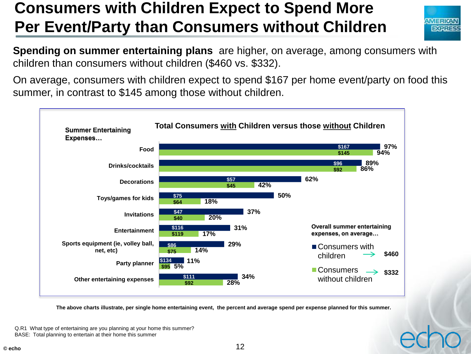#### **Consumers with Children Expect to Spend More Per Event/Party than Consumers without Children**



**Spending on summer entertaining plans** are higher, on average, among consumers with children than consumers without children (\$460 vs. \$332).

On average, consumers with children expect to spend \$167 per home event/party on food this summer, in contrast to \$145 among those without children.



**The above charts illustrate, per single home entertaining event, the percent and average spend per expense planned for this summer.**

Q.R1 What type of entertaining are you planning at your home this summer? BASE: Total planning to entertain at their home this summer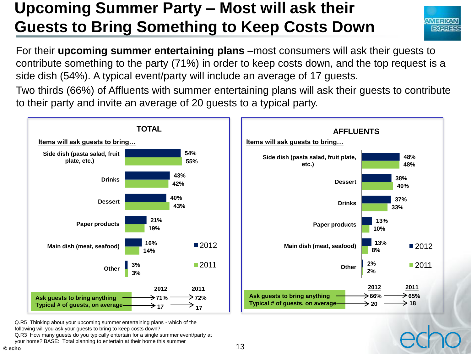# **Upcoming Summer Party – Most will ask their Guests to Bring Something to Keep Costs Down**



For their **upcoming summer entertaining plans** –most consumers will ask their guests to contribute something to the party (71%) in order to keep costs down, and the top request is a side dish (54%). A typical event/party will include an average of 17 guests.

Two thirds (66%) of Affluents with summer entertaining plans will ask their guests to contribute to their party and invite an average of 20 guests to a typical party.



Q.R5 Thinking about your upcoming summer entertaining plans - which of the following will you ask your guests to bring to keep costs down?

Q.R3 How many guests do you typically entertain for a single summer event/party at your home? BASE: Total planning to entertain at their home this summer

13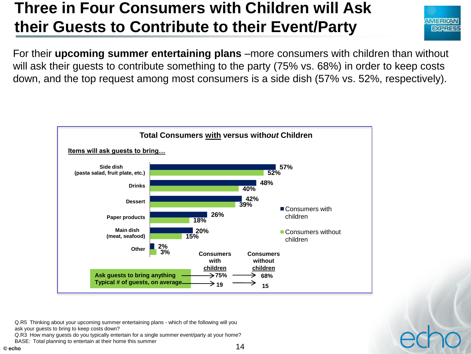### **Three in Four Consumers with Children will Ask their Guests to Contribute to their Event/Party**



For their **upcoming summer entertaining plans** –more consumers with children than without will ask their guests to contribute something to the party (75% vs. 68%) in order to keep costs down, and the top request among most consumers is a side dish (57% vs. 52%, respectively).



Q.R5 Thinking about your upcoming summer entertaining plans - which of the following will you ask your guests to bring to keep costs down?

Q.R3 How many guests do you typically entertain for a single summer event/party at your home?

BASE: Total planning to entertain at their home this summer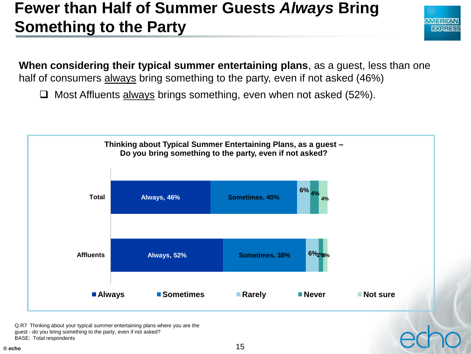#### **Fewer than Half of Summer Guests** *Always* **Bring Something to the Party**



**When considering their typical summer entertaining plans**, as a guest, less than one half of consumers always bring something to the party, even if not asked (46%)

 $\Box$  Most Affluents always brings something, even when not asked (52%).



Q.R7 Thinking about your typical summer entertaining plans where you are the guest - do you bring something to the party, even if not asked?

BASE: Total respondents

**© echo**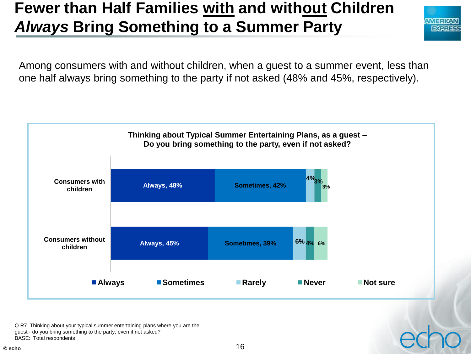# **Fewer than Half Families with and without Children**  *Always* **Bring Something to a Summer Party**



Among consumers with and without children, when a guest to a summer event, less than one half always bring something to the party if not asked (48% and 45%, respectively).



Q.R7 Thinking about your typical summer entertaining plans where you are the

guest - do you bring something to the party, even if not asked?

BASE: Total respondents

**© echo**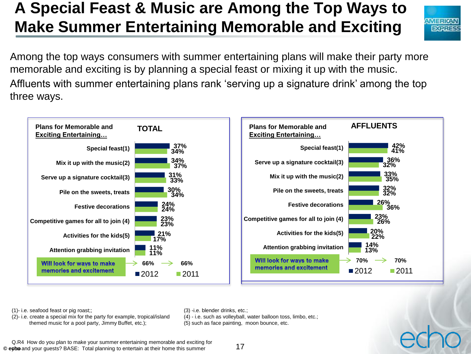# **A Special Feast & Music are Among the Top Ways to Make Summer Entertaining Memorable and Exciting**



Among the top ways consumers with summer entertaining plans will make their party more memorable and exciting is by planning a special feast or mixing it up with the music. Affluents with summer entertaining plans rank 'serving up a signature drink' among the top three ways.



(1)- i.e. seafood feast or pig roast;;

(2)- i.e. create a special mix for the party for example, tropical/island themed music for a pool party, Jimmy Buffet, etc.);

(3) -i.e. blender drinks, etc.;

(4) - i.e. such as volleyball, water balloon toss, limbo, etc.; (5) such as face painting, moon bounce, etc.

Q.R4 How do you plan to make your summer entertaining memorable and exciting for © eyho and your guests? BASE: Total planning to entertain at their home this summer